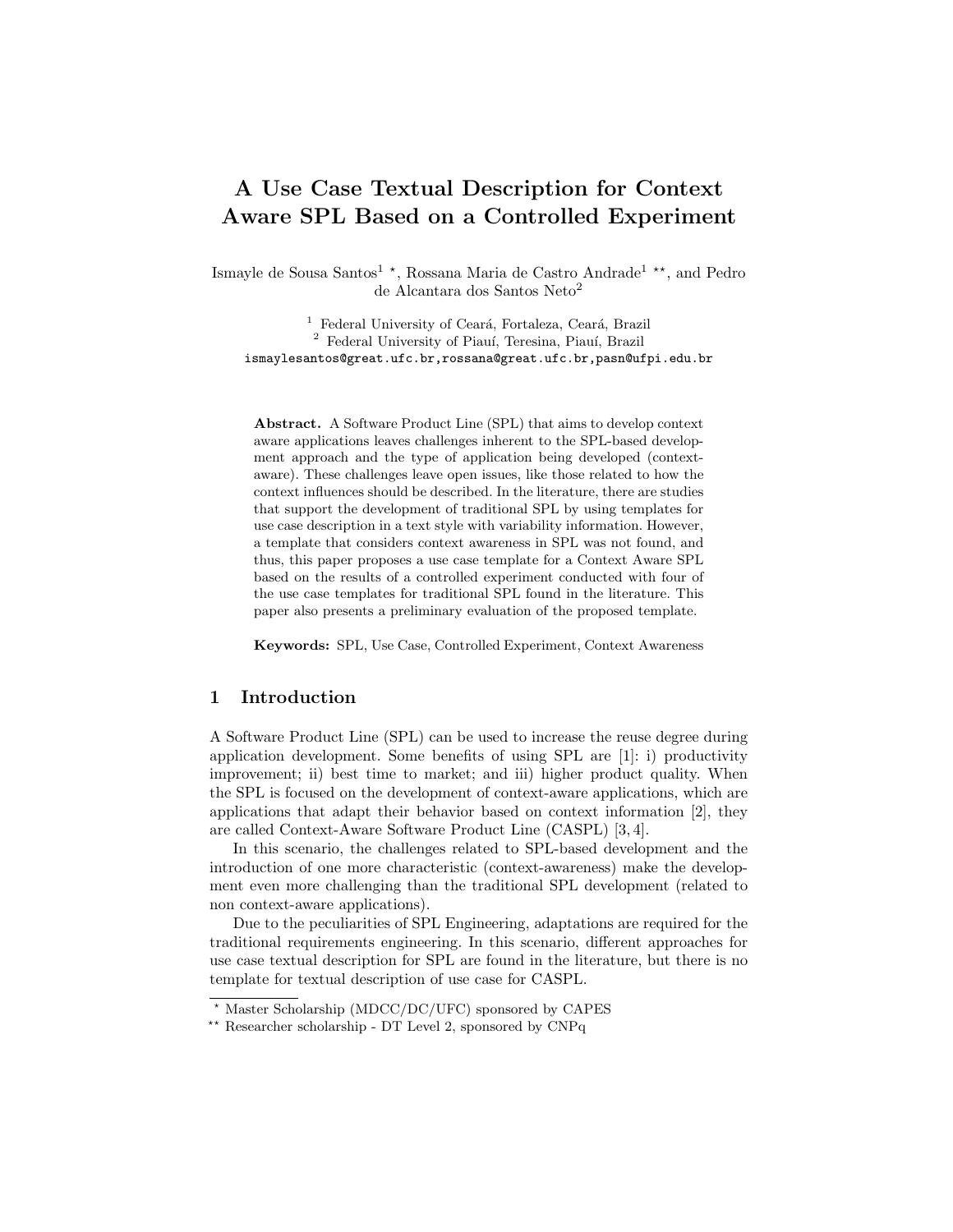# A Use Case Textual Description for Context Aware SPL Based on a Controlled Experiment

Ismayle de Sousa Santos<sup>1</sup> \*, Rossana Maria de Castro Andrade<sup>1</sup> \*\*, and Pedro de Alcantara dos Santos Neto<sup>2</sup>

<sup>1</sup> Federal University of Ceará, Fortaleza, Ceará, Brazil <sup>2</sup> Federal University of Piauí, Teresina, Piauí, Brazil ismaylesantos@great.ufc.br,rossana@great.ufc.br,pasn@ufpi.edu.br

Abstract. A Software Product Line (SPL) that aims to develop context aware applications leaves challenges inherent to the SPL-based development approach and the type of application being developed (contextaware). These challenges leave open issues, like those related to how the context influences should be described. In the literature, there are studies that support the development of traditional SPL by using templates for use case description in a text style with variability information. However, a template that considers context awareness in SPL was not found, and thus, this paper proposes a use case template for a Context Aware SPL based on the results of a controlled experiment conducted with four of the use case templates for traditional SPL found in the literature. This paper also presents a preliminary evaluation of the proposed template.

Keywords: SPL, Use Case, Controlled Experiment, Context Awareness

# 1 Introduction

A Software Product Line (SPL) can be used to increase the reuse degree during application development. Some benefits of using SPL are [1]: i) productivity improvement; ii) best time to market; and iii) higher product quality. When the SPL is focused on the development of context-aware applications, which are applications that adapt their behavior based on context information [2], they are called Context-Aware Software Product Line (CASPL) [3, 4].

In this scenario, the challenges related to SPL-based development and the introduction of one more characteristic (context-awareness) make the development even more challenging than the traditional SPL development (related to non context-aware applications).

Due to the peculiarities of SPL Engineering, adaptations are required for the traditional requirements engineering. In this scenario, different approaches for use case textual description for SPL are found in the literature, but there is no template for textual description of use case for CASPL.

<sup>?</sup> Master Scholarship (MDCC/DC/UFC) sponsored by CAPES

<sup>\*\*</sup> Researcher scholarship - DT Level 2, sponsored by CNPq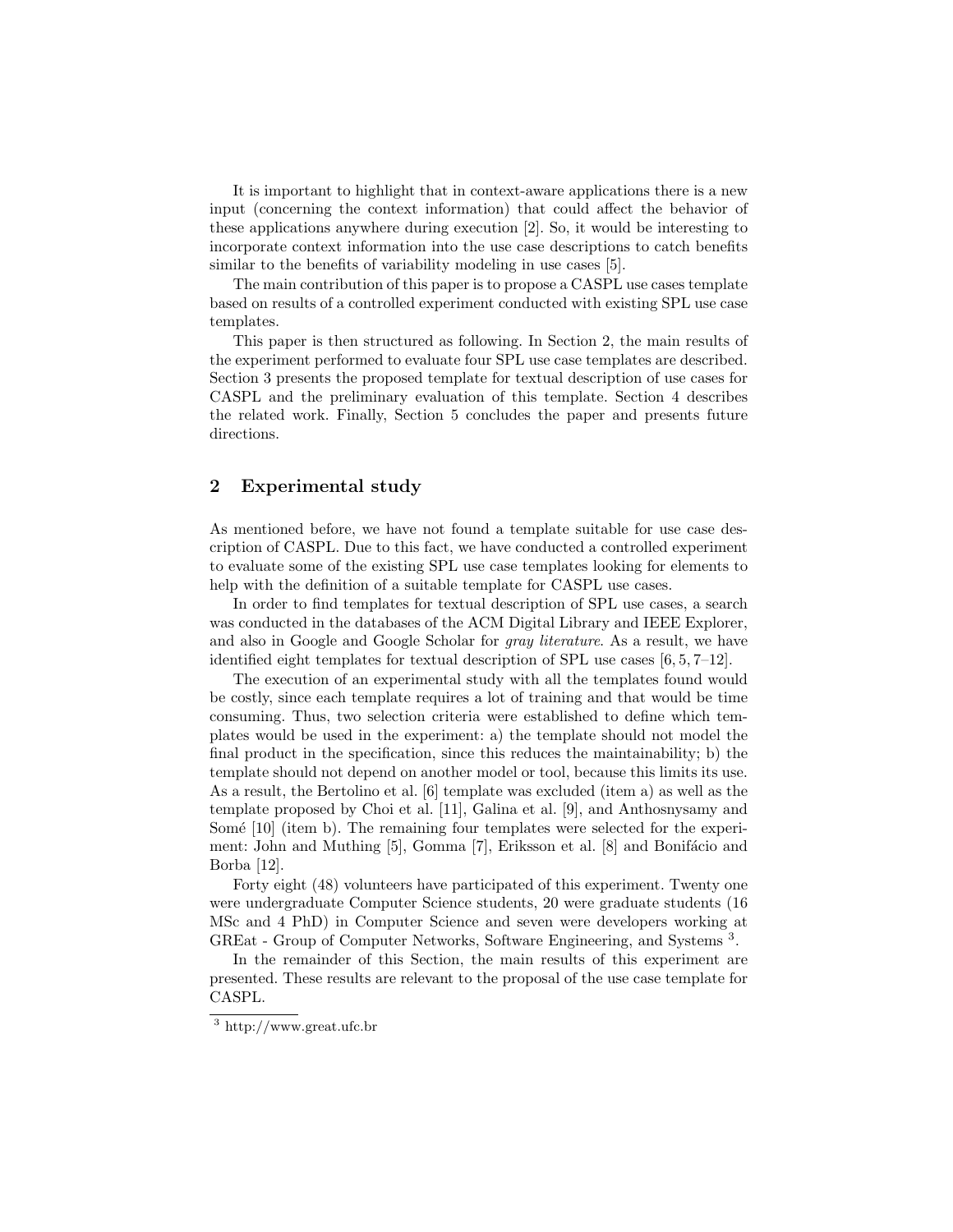It is important to highlight that in context-aware applications there is a new input (concerning the context information) that could affect the behavior of these applications anywhere during execution [2]. So, it would be interesting to incorporate context information into the use case descriptions to catch benefits similar to the benefits of variability modeling in use cases [5].

The main contribution of this paper is to propose a CASPL use cases template based on results of a controlled experiment conducted with existing SPL use case templates.

This paper is then structured as following. In Section 2, the main results of the experiment performed to evaluate four SPL use case templates are described. Section 3 presents the proposed template for textual description of use cases for CASPL and the preliminary evaluation of this template. Section 4 describes the related work. Finally, Section 5 concludes the paper and presents future directions.

# 2 Experimental study

As mentioned before, we have not found a template suitable for use case description of CASPL. Due to this fact, we have conducted a controlled experiment to evaluate some of the existing SPL use case templates looking for elements to help with the definition of a suitable template for CASPL use cases.

In order to find templates for textual description of SPL use cases, a search was conducted in the databases of the ACM Digital Library and IEEE Explorer, and also in Google and Google Scholar for gray literature. As a result, we have identified eight templates for textual description of SPL use cases [6, 5, 7–12].

The execution of an experimental study with all the templates found would be costly, since each template requires a lot of training and that would be time consuming. Thus, two selection criteria were established to define which templates would be used in the experiment: a) the template should not model the final product in the specification, since this reduces the maintainability; b) the template should not depend on another model or tool, because this limits its use. As a result, the Bertolino et al. [6] template was excluded (item a) as well as the template proposed by Choi et al. [11], Galina et al. [9], and Anthosnysamy and Somé [10] (item b). The remaining four templates were selected for the experiment: John and Muthing [5], Gomma [7], Eriksson et al. [8] and Bonifácio and Borba [12].

Forty eight (48) volunteers have participated of this experiment. Twenty one were undergraduate Computer Science students, 20 were graduate students (16 MSc and 4 PhD) in Computer Science and seven were developers working at GREat - Group of Computer Networks, Software Engineering, and Systems<sup>3</sup>.

In the remainder of this Section, the main results of this experiment are presented. These results are relevant to the proposal of the use case template for CASPL.

<sup>3</sup> http://www.great.ufc.br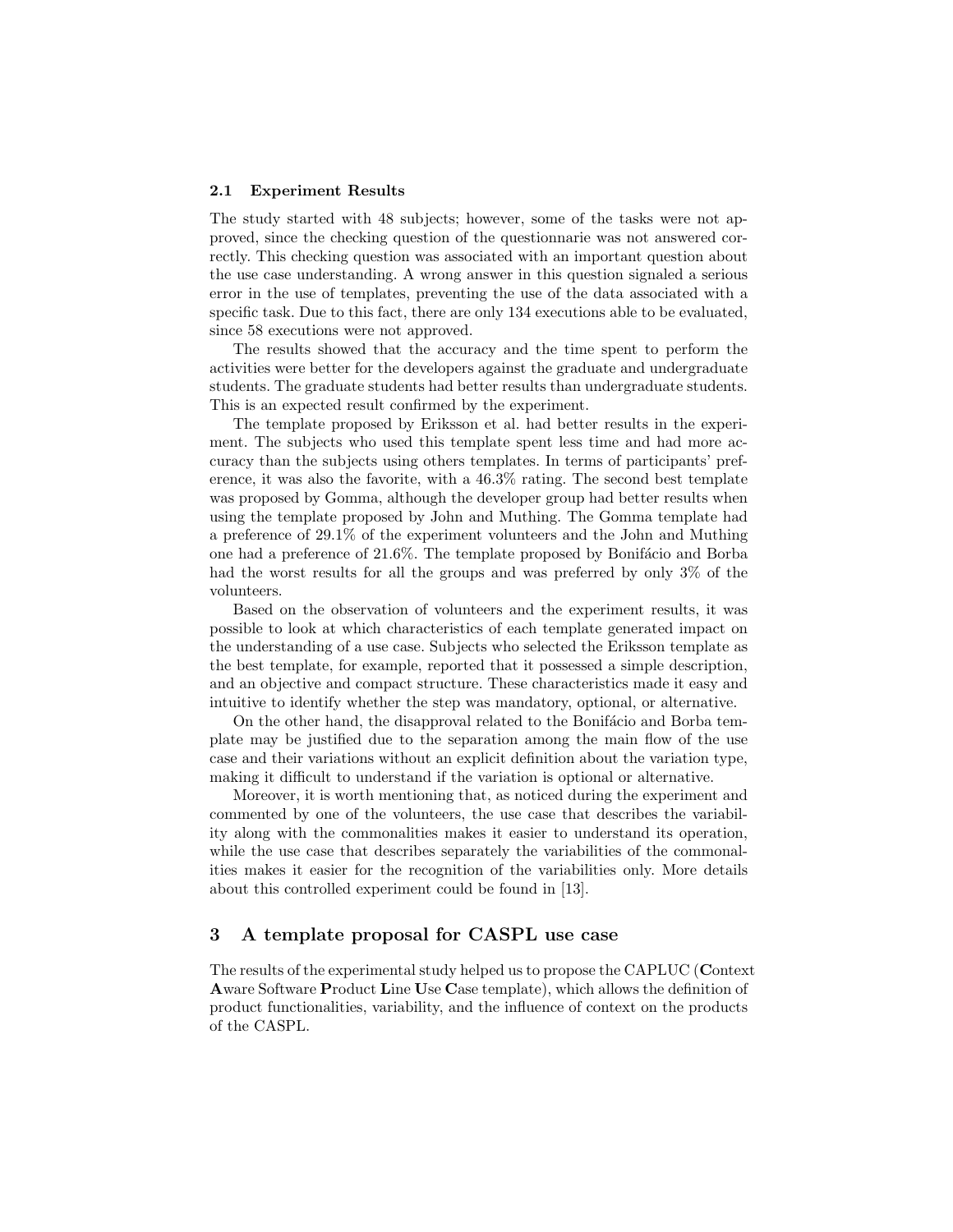#### 2.1 Experiment Results

The study started with 48 subjects; however, some of the tasks were not approved, since the checking question of the questionnarie was not answered correctly. This checking question was associated with an important question about the use case understanding. A wrong answer in this question signaled a serious error in the use of templates, preventing the use of the data associated with a specific task. Due to this fact, there are only 134 executions able to be evaluated, since 58 executions were not approved.

The results showed that the accuracy and the time spent to perform the activities were better for the developers against the graduate and undergraduate students. The graduate students had better results than undergraduate students. This is an expected result confirmed by the experiment.

The template proposed by Eriksson et al. had better results in the experiment. The subjects who used this template spent less time and had more accuracy than the subjects using others templates. In terms of participants' preference, it was also the favorite, with a 46.3% rating. The second best template was proposed by Gomma, although the developer group had better results when using the template proposed by John and Muthing. The Gomma template had a preference of 29.1% of the experiment volunteers and the John and Muthing one had a preference of  $21.6\%$ . The template proposed by Bonifácio and Borba had the worst results for all the groups and was preferred by only 3% of the volunteers.

Based on the observation of volunteers and the experiment results, it was possible to look at which characteristics of each template generated impact on the understanding of a use case. Subjects who selected the Eriksson template as the best template, for example, reported that it possessed a simple description, and an objective and compact structure. These characteristics made it easy and intuitive to identify whether the step was mandatory, optional, or alternative.

On the other hand, the disapproval related to the Bonifácio and Borba template may be justified due to the separation among the main flow of the use case and their variations without an explicit definition about the variation type, making it difficult to understand if the variation is optional or alternative.

Moreover, it is worth mentioning that, as noticed during the experiment and commented by one of the volunteers, the use case that describes the variability along with the commonalities makes it easier to understand its operation, while the use case that describes separately the variabilities of the commonalities makes it easier for the recognition of the variabilities only. More details about this controlled experiment could be found in [13].

# 3 A template proposal for CASPL use case

The results of the experimental study helped us to propose the CAPLUC (Context Aware Software Product Line Use Case template), which allows the definition of product functionalities, variability, and the influence of context on the products of the CASPL.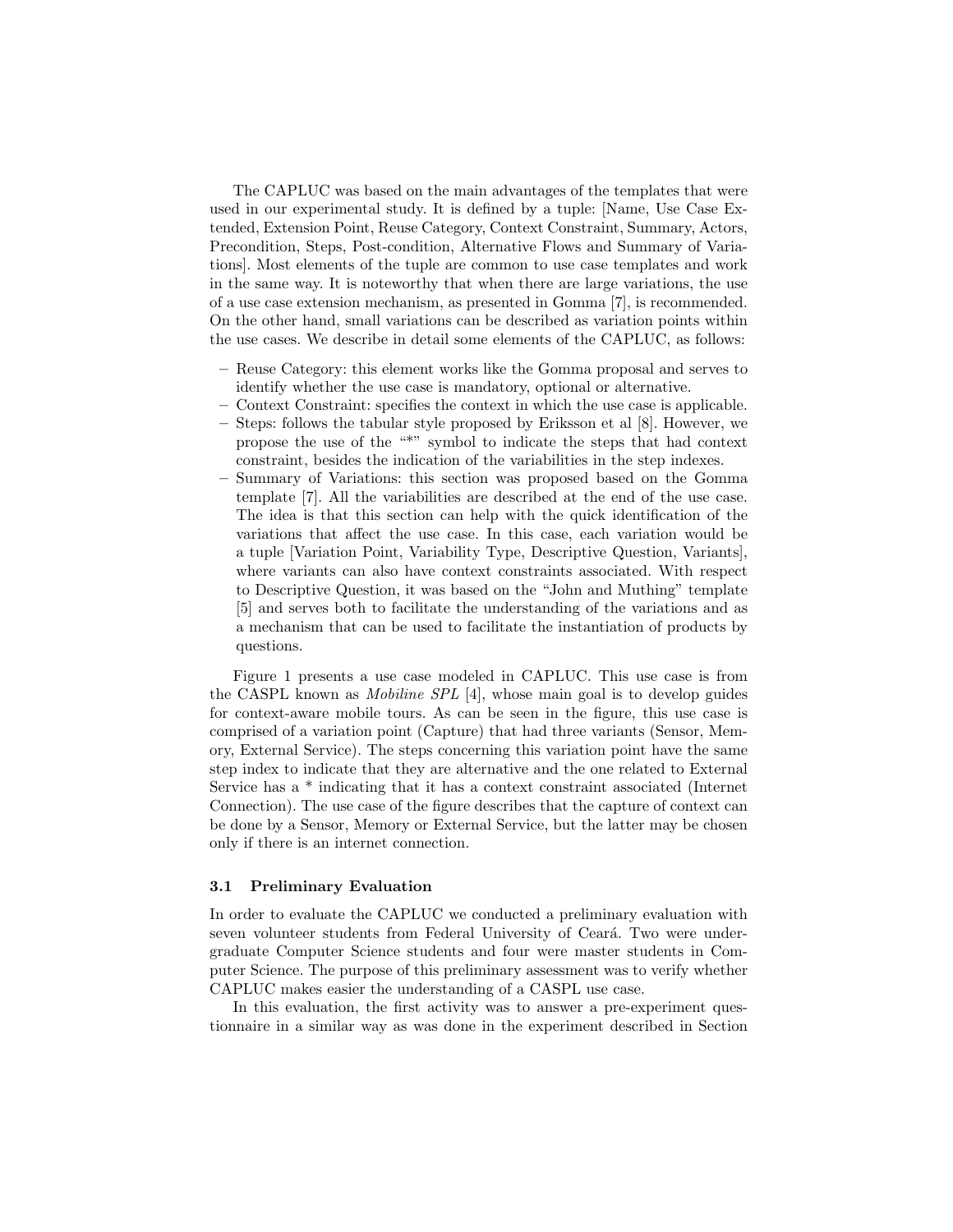The CAPLUC was based on the main advantages of the templates that were used in our experimental study. It is defined by a tuple: [Name, Use Case Extended, Extension Point, Reuse Category, Context Constraint, Summary, Actors, Precondition, Steps, Post-condition, Alternative Flows and Summary of Variations]. Most elements of the tuple are common to use case templates and work in the same way. It is noteworthy that when there are large variations, the use of a use case extension mechanism, as presented in Gomma [7], is recommended. On the other hand, small variations can be described as variation points within the use cases. We describe in detail some elements of the CAPLUC, as follows:

- Reuse Category: this element works like the Gomma proposal and serves to identify whether the use case is mandatory, optional or alternative.
- Context Constraint: specifies the context in which the use case is applicable.
- Steps: follows the tabular style proposed by Eriksson et al [8]. However, we propose the use of the "\*" symbol to indicate the steps that had context constraint, besides the indication of the variabilities in the step indexes.
- Summary of Variations: this section was proposed based on the Gomma template [7]. All the variabilities are described at the end of the use case. The idea is that this section can help with the quick identification of the variations that affect the use case. In this case, each variation would be a tuple [Variation Point, Variability Type, Descriptive Question, Variants], where variants can also have context constraints associated. With respect to Descriptive Question, it was based on the "John and Muthing" template [5] and serves both to facilitate the understanding of the variations and as a mechanism that can be used to facilitate the instantiation of products by questions.

Figure 1 presents a use case modeled in CAPLUC. This use case is from the CASPL known as Mobiline SPL [4], whose main goal is to develop guides for context-aware mobile tours. As can be seen in the figure, this use case is comprised of a variation point (Capture) that had three variants (Sensor, Memory, External Service). The steps concerning this variation point have the same step index to indicate that they are alternative and the one related to External Service has a \* indicating that it has a context constraint associated (Internet Connection). The use case of the figure describes that the capture of context can be done by a Sensor, Memory or External Service, but the latter may be chosen only if there is an internet connection.

#### 3.1 Preliminary Evaluation

In order to evaluate the CAPLUC we conducted a preliminary evaluation with seven volunteer students from Federal University of Ceará. Two were undergraduate Computer Science students and four were master students in Computer Science. The purpose of this preliminary assessment was to verify whether CAPLUC makes easier the understanding of a CASPL use case.

In this evaluation, the first activity was to answer a pre-experiment questionnaire in a similar way as was done in the experiment described in Section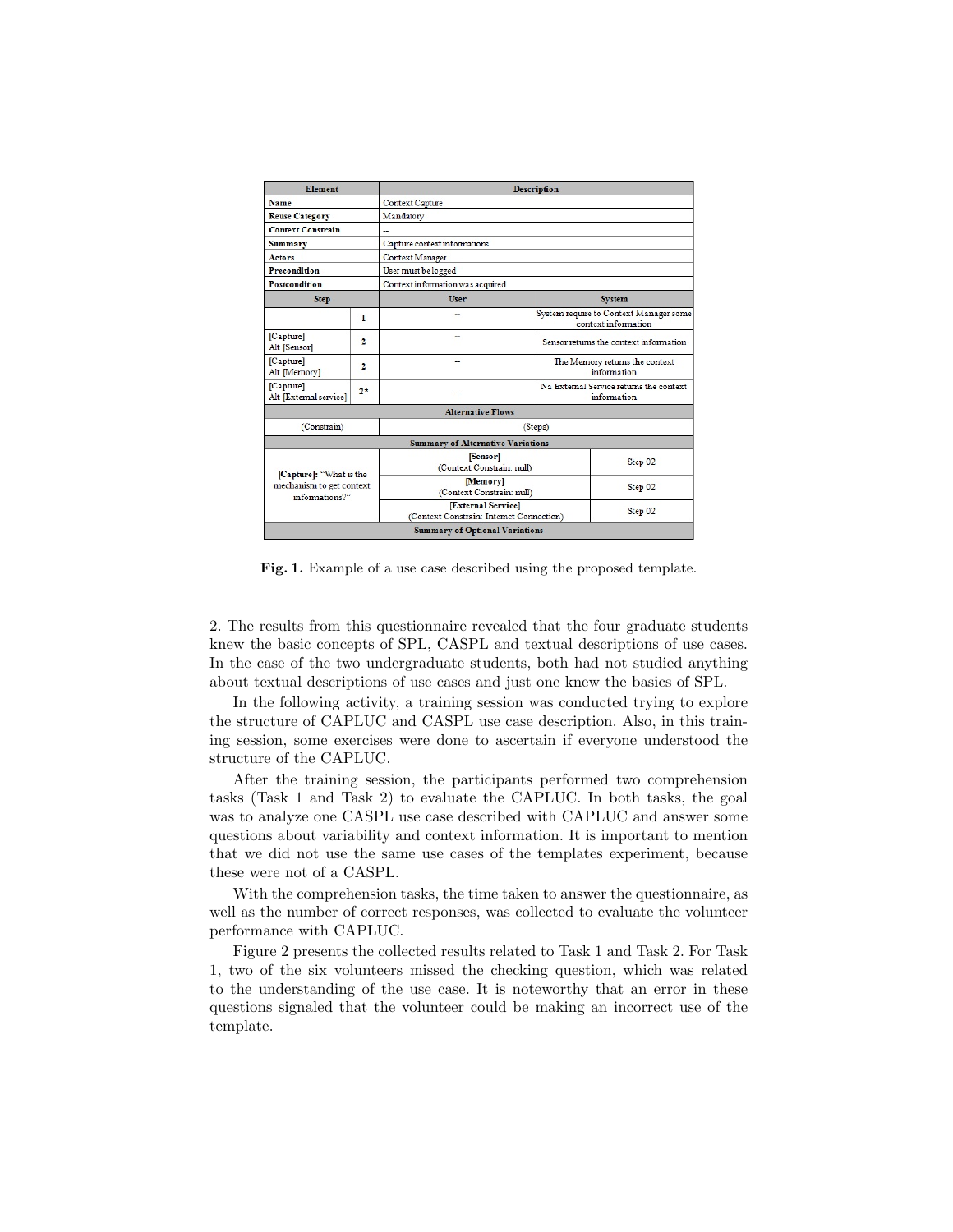| <b>Element</b>                                                        |                | <b>Description</b>                                             |                                                               |  |  |  |  |  |
|-----------------------------------------------------------------------|----------------|----------------------------------------------------------------|---------------------------------------------------------------|--|--|--|--|--|
| Name                                                                  |                | Context Capture                                                |                                                               |  |  |  |  |  |
| <b>Reuse Category</b>                                                 |                | Mandatory                                                      |                                                               |  |  |  |  |  |
| <b>Context Constrain</b>                                              |                |                                                                |                                                               |  |  |  |  |  |
| <b>Summary</b>                                                        |                | Capture context informations                                   |                                                               |  |  |  |  |  |
| <b>Actors</b>                                                         |                | Context Manager                                                |                                                               |  |  |  |  |  |
| <b>Precondition</b>                                                   |                | User must be logged                                            |                                                               |  |  |  |  |  |
| Postcondition                                                         |                | Context information was acquired                               |                                                               |  |  |  |  |  |
| <b>Step</b>                                                           |                | <b>User</b>                                                    | <b>System</b>                                                 |  |  |  |  |  |
|                                                                       | 1              |                                                                | System require to Context Manager some<br>context information |  |  |  |  |  |
| [Capture]<br>Alt [Sensor]                                             | $\overline{2}$ | --                                                             | Sensor returns the context information                        |  |  |  |  |  |
| [Capture]<br>Alt [Memory]                                             | $\overline{2}$ |                                                                | The Memory returns the context<br>information                 |  |  |  |  |  |
| [Capture]<br>Alt [Extemal service]                                    | $2*$           |                                                                | Na External Service returns the context<br>information        |  |  |  |  |  |
|                                                                       |                | <b>Alternative Flows</b>                                       |                                                               |  |  |  |  |  |
| (Constrain)                                                           |                | (Steps)                                                        |                                                               |  |  |  |  |  |
|                                                                       |                | <b>Summary of Alternative Variations</b>                       |                                                               |  |  |  |  |  |
| [Capture]: "What is the<br>mechanism to get context<br>informations?" |                | [Sensor]<br>(Context Constrain: null)                          | Step 02                                                       |  |  |  |  |  |
|                                                                       |                | [Memory]<br>(Context Constrain: null)                          | Step 02                                                       |  |  |  |  |  |
|                                                                       |                | [External Service]<br>(Context Constrain: Internet Connection) | Step 02                                                       |  |  |  |  |  |
| <b>Summary of Optional Variations</b>                                 |                |                                                                |                                                               |  |  |  |  |  |

Fig. 1. Example of a use case described using the proposed template.

2. The results from this questionnaire revealed that the four graduate students knew the basic concepts of SPL, CASPL and textual descriptions of use cases. In the case of the two undergraduate students, both had not studied anything about textual descriptions of use cases and just one knew the basics of SPL.

In the following activity, a training session was conducted trying to explore the structure of CAPLUC and CASPL use case description. Also, in this training session, some exercises were done to ascertain if everyone understood the structure of the CAPLUC.

After the training session, the participants performed two comprehension tasks (Task 1 and Task 2) to evaluate the CAPLUC. In both tasks, the goal was to analyze one CASPL use case described with CAPLUC and answer some questions about variability and context information. It is important to mention that we did not use the same use cases of the templates experiment, because these were not of a CASPL.

With the comprehension tasks, the time taken to answer the questionnaire, as well as the number of correct responses, was collected to evaluate the volunteer performance with CAPLUC.

Figure 2 presents the collected results related to Task 1 and Task 2. For Task 1, two of the six volunteers missed the checking question, which was related to the understanding of the use case. It is noteworthy that an error in these questions signaled that the volunteer could be making an incorrect use of the template.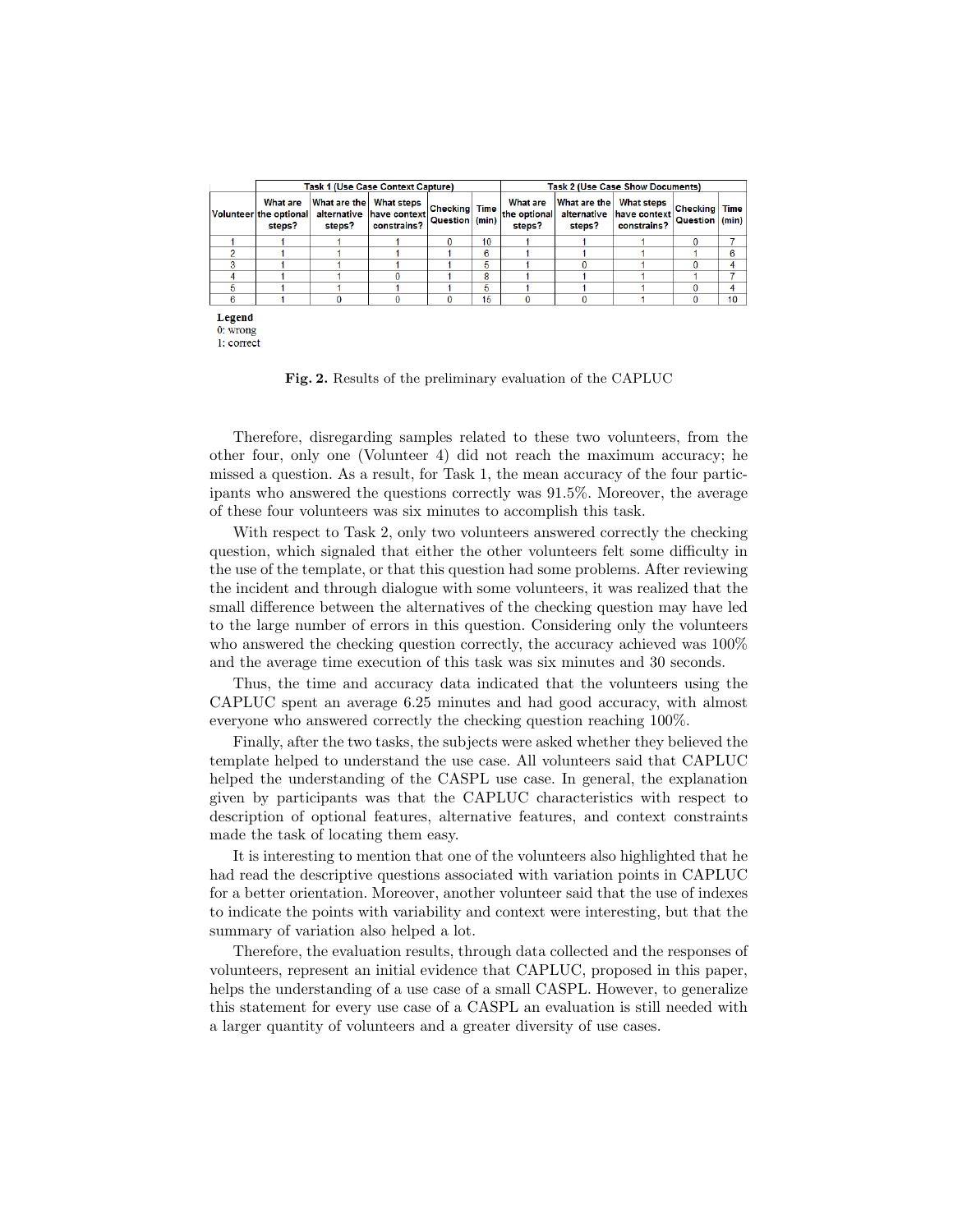|               |                                                     |                        | <b>Task 1 (Use Case Context Capture)</b>                     |                                        | <b>Task 2 (Use Case Show Documents)</b> |                                           |                                       |                                                  |                             |                      |
|---------------|-----------------------------------------------------|------------------------|--------------------------------------------------------------|----------------------------------------|-----------------------------------------|-------------------------------------------|---------------------------------------|--------------------------------------------------|-----------------------------|----------------------|
|               | <b>What are</b><br>Volunteer the optional<br>steps? | What are the<br>steps? | <b>What steps</b><br>alternative have context<br>constrains? | <b>Checking</b> Time<br>Question (min) |                                         | <b>What are</b><br>the optional<br>steps? | What are the<br>alternative<br>steps? | <b>What steps</b><br>have context<br>constrains? | <b>Checking</b><br>Question | <b>Time</b><br>(min) |
|               |                                                     |                        |                                                              | 0                                      | 10                                      |                                           |                                       |                                                  | $\Omega$                    |                      |
|               |                                                     |                        |                                                              |                                        | 6                                       |                                           |                                       |                                                  |                             | в                    |
|               |                                                     |                        |                                                              |                                        | 5                                       |                                           |                                       |                                                  | $\Omega$                    | 4                    |
|               |                                                     |                        |                                                              |                                        | 8                                       |                                           |                                       |                                                  |                             |                      |
| 5             |                                                     |                        |                                                              |                                        | 5                                       |                                           |                                       |                                                  | n                           | 4                    |
| в             |                                                     |                        | $\Omega$                                                     | o                                      | 15                                      | $\Omega$                                  |                                       |                                                  | $\Omega$                    | 10                   |
| <b>Legend</b> |                                                     |                        |                                                              |                                        |                                         |                                           |                                       |                                                  |                             |                      |

 $0:$  wrong  $1: correct$ 

Fig. 2. Results of the preliminary evaluation of the CAPLUC

Therefore, disregarding samples related to these two volunteers, from the other four, only one (Volunteer 4) did not reach the maximum accuracy; he missed a question. As a result, for Task 1, the mean accuracy of the four participants who answered the questions correctly was 91.5%. Moreover, the average of these four volunteers was six minutes to accomplish this task.

With respect to Task 2, only two volunteers answered correctly the checking question, which signaled that either the other volunteers felt some difficulty in the use of the template, or that this question had some problems. After reviewing the incident and through dialogue with some volunteers, it was realized that the small difference between the alternatives of the checking question may have led to the large number of errors in this question. Considering only the volunteers who answered the checking question correctly, the accuracy achieved was 100% and the average time execution of this task was six minutes and 30 seconds.

Thus, the time and accuracy data indicated that the volunteers using the CAPLUC spent an average 6.25 minutes and had good accuracy, with almost everyone who answered correctly the checking question reaching 100%.

Finally, after the two tasks, the subjects were asked whether they believed the template helped to understand the use case. All volunteers said that CAPLUC helped the understanding of the CASPL use case. In general, the explanation given by participants was that the CAPLUC characteristics with respect to description of optional features, alternative features, and context constraints made the task of locating them easy.

It is interesting to mention that one of the volunteers also highlighted that he had read the descriptive questions associated with variation points in CAPLUC for a better orientation. Moreover, another volunteer said that the use of indexes to indicate the points with variability and context were interesting, but that the summary of variation also helped a lot.

Therefore, the evaluation results, through data collected and the responses of volunteers, represent an initial evidence that CAPLUC, proposed in this paper, helps the understanding of a use case of a small CASPL. However, to generalize this statement for every use case of a CASPL an evaluation is still needed with a larger quantity of volunteers and a greater diversity of use cases.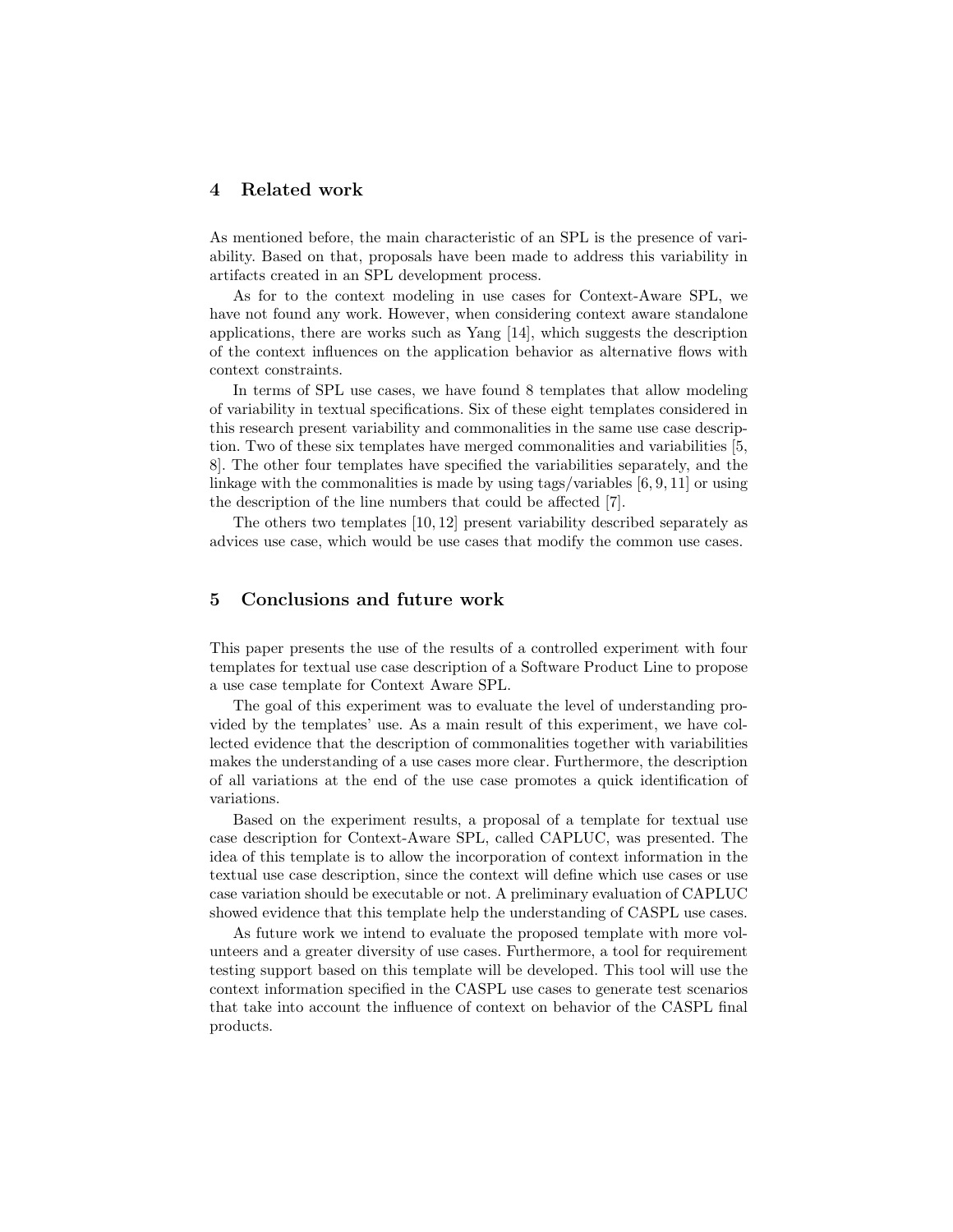## 4 Related work

As mentioned before, the main characteristic of an SPL is the presence of variability. Based on that, proposals have been made to address this variability in artifacts created in an SPL development process.

As for to the context modeling in use cases for Context-Aware SPL, we have not found any work. However, when considering context aware standalone applications, there are works such as Yang [14], which suggests the description of the context influences on the application behavior as alternative flows with context constraints.

In terms of SPL use cases, we have found 8 templates that allow modeling of variability in textual specifications. Six of these eight templates considered in this research present variability and commonalities in the same use case description. Two of these six templates have merged commonalities and variabilities [5, 8]. The other four templates have specified the variabilities separately, and the linkage with the commonalities is made by using tags/variables [6, 9, 11] or using the description of the line numbers that could be affected [7].

The others two templates [10, 12] present variability described separately as advices use case, which would be use cases that modify the common use cases.

# 5 Conclusions and future work

This paper presents the use of the results of a controlled experiment with four templates for textual use case description of a Software Product Line to propose a use case template for Context Aware SPL.

The goal of this experiment was to evaluate the level of understanding provided by the templates' use. As a main result of this experiment, we have collected evidence that the description of commonalities together with variabilities makes the understanding of a use cases more clear. Furthermore, the description of all variations at the end of the use case promotes a quick identification of variations.

Based on the experiment results, a proposal of a template for textual use case description for Context-Aware SPL, called CAPLUC, was presented. The idea of this template is to allow the incorporation of context information in the textual use case description, since the context will define which use cases or use case variation should be executable or not. A preliminary evaluation of CAPLUC showed evidence that this template help the understanding of CASPL use cases.

As future work we intend to evaluate the proposed template with more volunteers and a greater diversity of use cases. Furthermore, a tool for requirement testing support based on this template will be developed. This tool will use the context information specified in the CASPL use cases to generate test scenarios that take into account the influence of context on behavior of the CASPL final products.